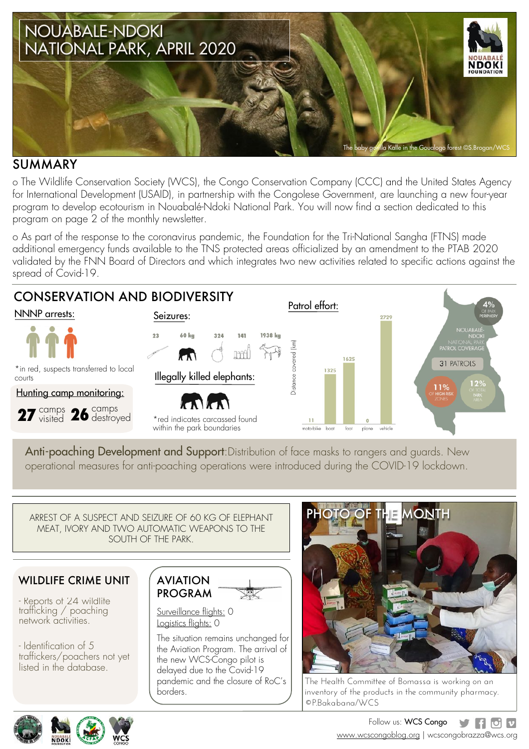

### SUMMARY

o The Wildlife Conservation Society (WCS), the Congo Conservation Company (CCC) and the United States Agency for International Development (USAID), in partnership with the Congolese Government, are launching a new four-year program to develop ecotourism in Nouabalé-Ndoki National Park. You will now find a section dedicated to this program on page 2 of the monthly newsletter.

o As part of the response to the coronavirus pandemic, the Foundation for the Tri-National Sangha (FTNS) made additional emergency funds available to the TNS protected areas officialized by an amendment to the PTAB 2020 validated by the FNN Board of Directors and which integrates two new activities related to specific actions against the spread of Covid-19.



Anti-poaching Development and Support: Distribution of face masks to rangers and quards. New operational measures for anti-poaching operations were introduced during the COVID-19 lockdown.

#### ARREST OF A SUSPECT AND SEIZURE OF 60 KG OF ELEPHANT MEAT, IVORY AND TWO AUTOMATIC WEAPONS TO THE SOUTH OF THE PARK.

### WILDLIFE CRIME UNIT

- Reports of 24 wildlife trafficking / poaching network activities.

- Identification of 5 traffickers/poachers not yet listed in the database.





Surveillance flights: 0 Logistics flights: 0

The situation remains unchanged for the Aviation Program. The arrival of the new WCS-Congo pilot is delayed due to the Covid-19 pandemic and the closure of RoC's borders.



The Health Committee of Bomassa is working on an inventory of the products in the community pharmacy. ©P.Bakabana/WCS